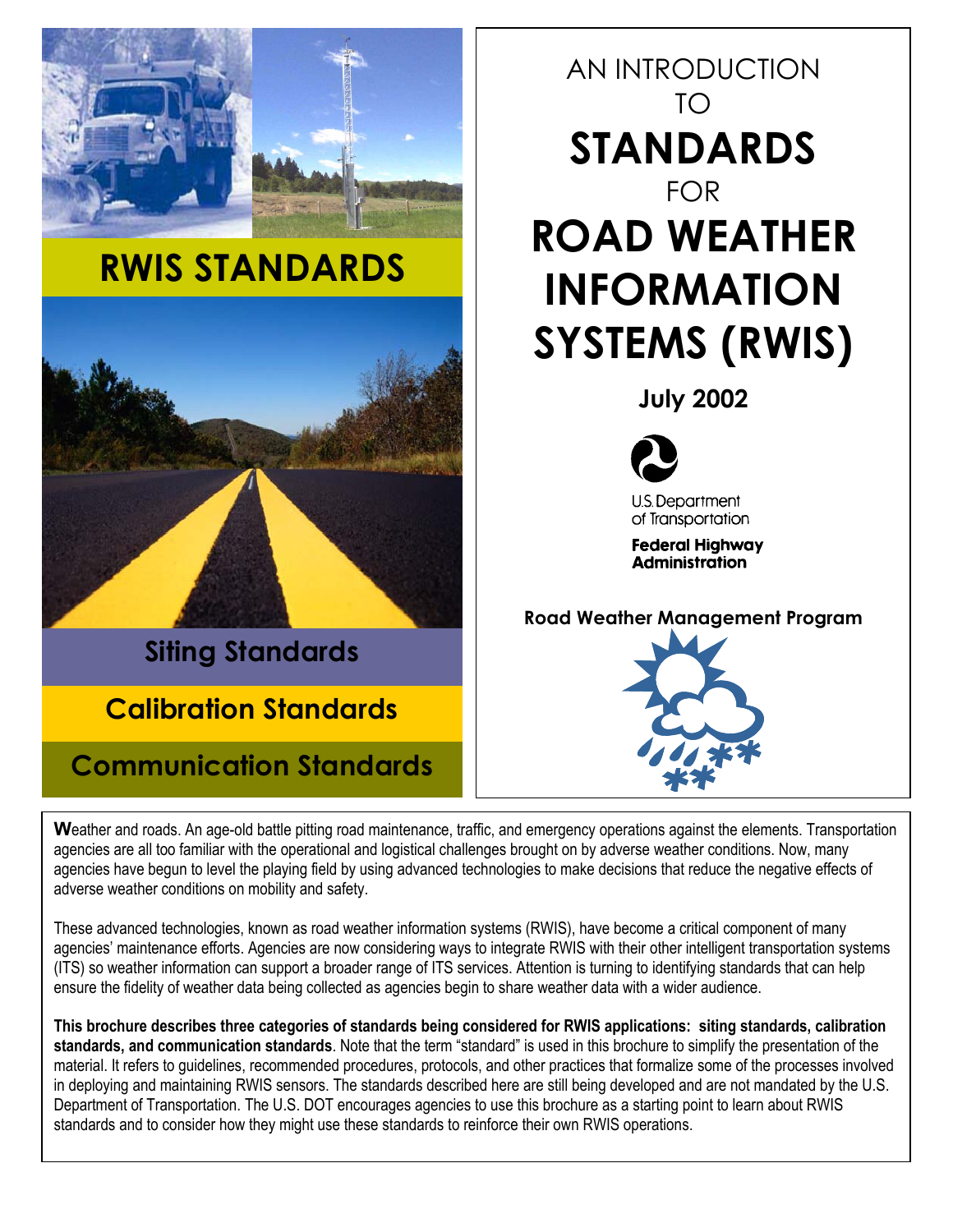

**W**eather and roads. An age-old battle pitting road maintenance, traffic, and emergency operations against the elements. Transportation agencies are all too familiar with the operational and logistical challenges brought on by adverse weather conditions. Now, many agencies have begun to level the playing field by using advanced technologies to make decisions that reduce the negative effects of adverse weather conditions on mobility and safety.

These advanced technologies, known as road weather information systems (RWIS), have become a critical component of many agencies' maintenance efforts. Agencies are now considering ways to integrate RWIS with their other intelligent transportation systems (ITS) so weather information can support a broader range of ITS services. Attention is turning to identifying standards that can help ensure the fidelity of weather data being collected as agencies begin to share weather data with a wider audience.

**This brochure describes three categories of standards being considered for RWIS applications: siting standards, calibration standards, and communication standards**. Note that the term "standard" is used in this brochure to simplify the presentation of the material. It refers to guidelines, recommended procedures, protocols, and other practices that formalize some of the processes involved in deploying and maintaining RWIS sensors. The standards described here are still being developed and are not mandated by the U.S. Department of Transportation. The U.S. DOT encourages agencies to use this brochure as a starting point to learn about RWIS standards and to consider how they might use these standards to reinforce their own RWIS operations.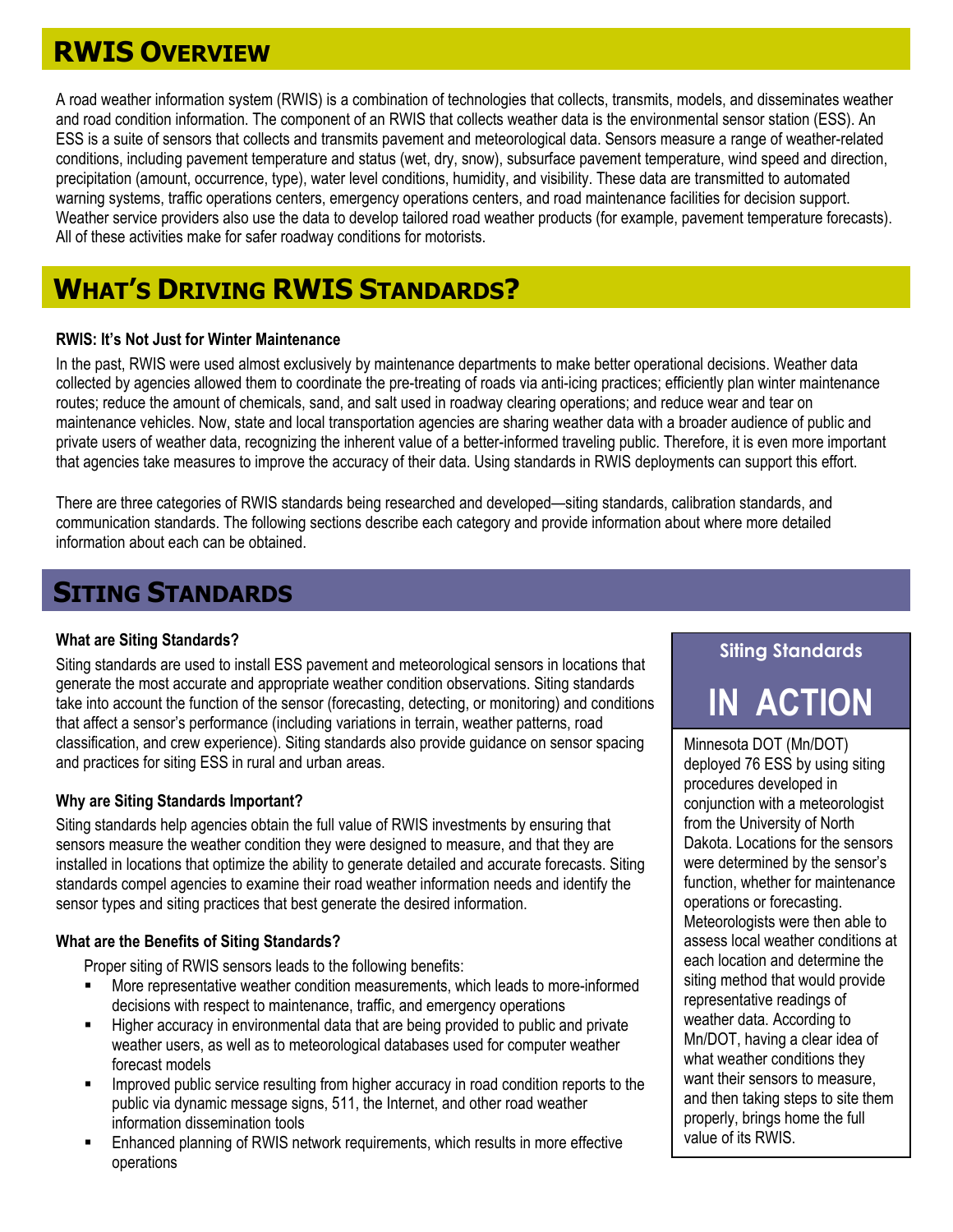# **RWIS OVERVIEW**

A road weather information system (RWIS) is a combination of technologies that collects, transmits, models, and disseminates weather and road condition information. The component of an RWIS that collects weather data is the environmental sensor station (ESS). An ESS is a suite of sensors that collects and transmits pavement and meteorological data. Sensors measure a range of weather-related conditions, including pavement temperature and status (wet, dry, snow), subsurface pavement temperature, wind speed and direction, precipitation (amount, occurrence, type), water level conditions, humidity, and visibility. These data are transmitted to automated warning systems, traffic operations centers, emergency operations centers, and road maintenance facilities for decision support. Weather service providers also use the data to develop tailored road weather products (for example, pavement temperature forecasts). All of these activities make for safer roadway conditions for motorists.

# **WHAT'S DRIVING RWIS STANDARDS?**

#### **RWIS: It's Not Just for Winter Maintenance**

In the past, RWIS were used almost exclusively by maintenance departments to make better operational decisions. Weather data collected by agencies allowed them to coordinate the pre-treating of roads via anti-icing practices; efficiently plan winter maintenance routes; reduce the amount of chemicals, sand, and salt used in roadway clearing operations; and reduce wear and tear on maintenance vehicles. Now, state and local transportation agencies are sharing weather data with a broader audience of public and private users of weather data, recognizing the inherent value of a better-informed traveling public. Therefore, it is even more important that agencies take measures to improve the accuracy of their data. Using standards in RWIS deployments can support this effort.

There are three categories of RWIS standards being researched and developed—siting standards, calibration standards, and communication standards. The following sections describe each category and provide information about where more detailed information about each can be obtained.

# **SITING STANDARDS**

What are Siting Standards?<br>Siting standards are used to install ESS pavement and meteorological sensors in locations that<br> generate the most accurate and appropriate weather condition observations. Siting standards take into account the function of the sensor (forecasting, detecting, or monitoring) and conditions that affect a sensor's performance (including variations in terrain, weather patterns, road classification, and crew experience). Siting standards also provide guidance on sensor spacing and practices for siting ESS in rural and urban areas.

### **Why are Siting Standards Important?**

Siting standards help agencies obtain the full value of RWIS investments by ensuring that sensors measure the weather condition they were designed to measure, and that they are installed in locations that optimize the ability to generate detailed and accurate forecasts. Siting standards compel agencies to examine their road weather information needs and identify the sensor types and siting practices that best generate the desired information.

#### **What are the Benefits of Siting Standards?**

Proper siting of RWIS sensors leads to the following benefits:

- More representative weather condition measurements, which leads to more-informed decisions with respect to maintenance, traffic, and emergency operations
- Higher accuracy in environmental data that are being provided to public and private weather users, as well as to meteorological databases used for computer weather forecast models
- Improved public service resulting from higher accuracy in road condition reports to the public via dynamic message signs, 511, the Internet, and other road weather information dissemination tools
- **Enhanced planning of RWIS network requirements, which results in more effective** operations

# **IN ACTION**

Minnesota DOT (Mn/DOT) deployed 76 ESS by using siting procedures developed in conjunction with a meteorologist from the University of North Dakota. Locations for the sensors were determined by the sensor's function, whether for maintenance operations or forecasting. Meteorologists were then able to assess local weather conditions at each location and determine the siting method that would provide representative readings of weather data. According to Mn/DOT, having a clear idea of what weather conditions they want their sensors to measure, and then taking steps to site th em properly, brings home the full value of its RWIS.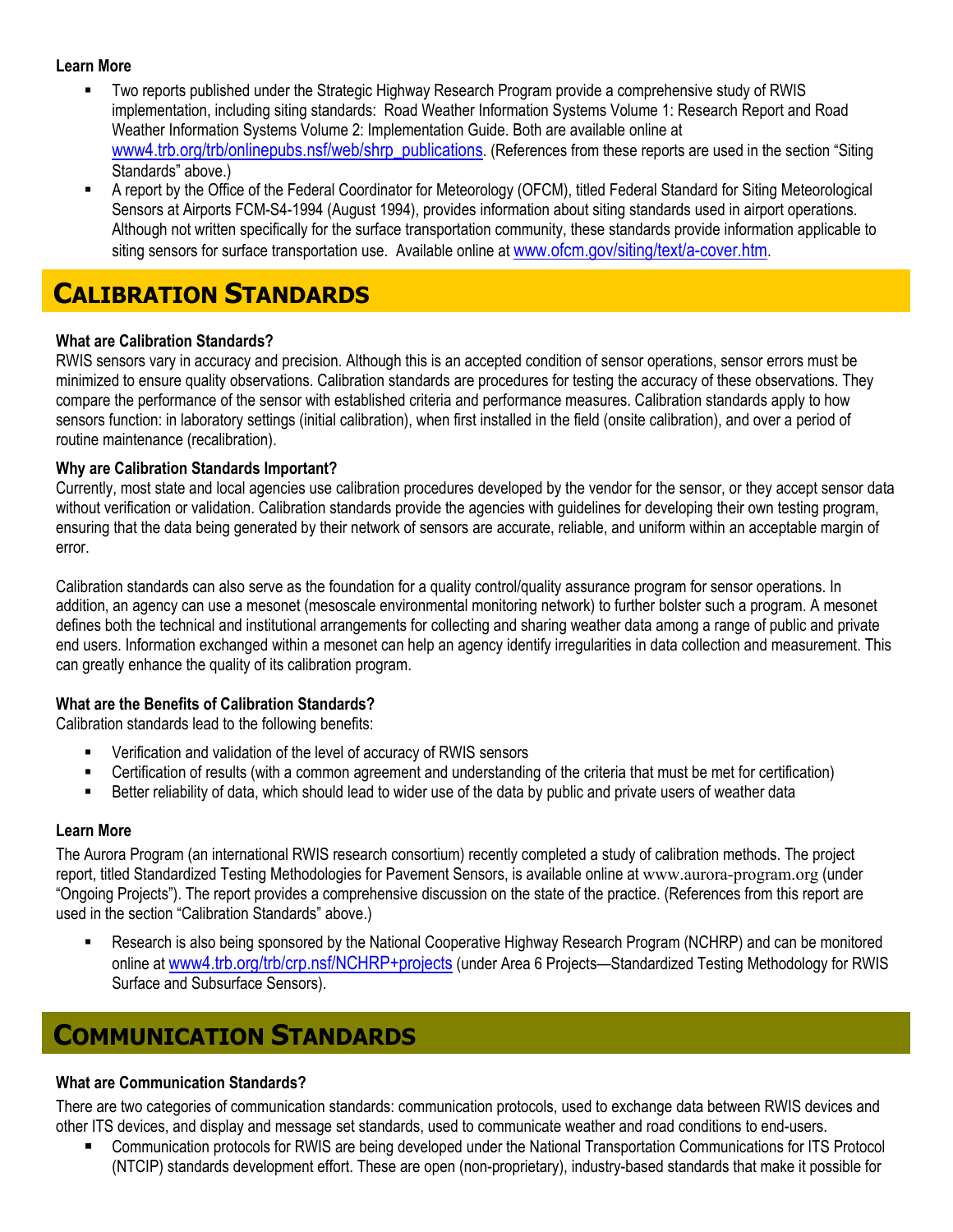#### **Learn More**

- Two reports published under the Strategic Highway Research Program provide a comprehensive study of RWIS implementation, including siting standards: Road Weather Information Systems Volume 1: Research Report and Road Weather Information Systems Volume 2: Implementation Guide. Both are available online at www4.trb.org/trb/onlinepubs.nsf/web/shrp\_publications. (References from these reports are used in the section "Siting Standards" above.)
- A report by the Office of the Federal Coordinator for Meteorology (OFCM), titled Federal Standard for Siting Meteorological Sensors at Airports FCM-S4-1994 (August 1994), provides information about siting standards used in airport operations. Although not written specifically for the surface transportation community, these standards provide information applicable to siting sensors for surface transportation use. Available online at www.ofcm.gov/siting/text/a-cover.htm.

## **CALIBRATION STANDARDS**

### **What are Calibration Standards?**

RWIS sensors vary in accuracy and precision. Although this is an accepted condition of sensor operations, sensor errors must be minimized to ensure quality observations. Calibration standards are procedures for testing the accuracy of these observations. They compare the performance of the sensor with established criteria and performance measures. Calibration standards apply to how sensors function: in laboratory settings (initial calibration), when first installed in the field (onsite calibration), and over a period of routine maintenance (recalibration).

#### **Why are Calibration Standards Important?**

Currently, most state and local agencies use calibration procedures developed by the vendor for the sensor, or they accept sensor data without verification or validation. Calibration standards provide the agencies with guidelines for developing their own testing program, ensuring that the data being generated by their network of sensors are accurate, reliable, and uniform within an acceptable margin of error.

Calibration standards can also serve as the foundation for a quality control/quality assurance program for sensor operations. In addition, an agency can use a mesonet (mesoscale environmental monitoring network) to further bolster such a program. A mesonet defines both the technical and institutional arrangements for collecting and sharing weather data among a range of public and private end users. Information exchanged within a mesonet can help an agency identify irregularities in data collection and measurement. This can greatly enhance the quality of its calibration program.

### **What are the Benefits of Calibration Standards?**

Calibration standards lead to the following benefits:

- Verification and validation of the level of accuracy of RWIS sensors
- Certification of results (with a common agreement and understanding of the criteria that must be met for certification)
- Better reliability of data, which should lead to wider use of the data by public and private users of weather data

#### **Learn More**

The Aurora Program (an international RWIS research consortium) recently completed a study of calibration methods. The project report, titled Standardized Testing Methodologies for Pavement Sensors, is available online at [www.aurora-program.org](http://www.aurora-program.org/) (under "Ongoing Projects"). The report provides a comprehensive discussion on the state of the practice. (References from this report are used in the section "Calibration Standards" above.)

 Research is also being sponsored by the National Cooperative Highway Research Program (NCHRP) and can be monitored online at [www4.trb.org/trb/crp.nsf/NCHRP+projects](http://www.4.trb.org/trb/crp.nsf/NCHRP+projects) (under Area 6 Projects—Standardized Testing Methodology for RWIS Surface and Subsurface Sensors).

# **COMMUNICATION STANDARDS**

### **What are Communication Standards?**

There are two categories of communication standards: communication protocols, used to exchange data between RWIS devices and other ITS devices, and display and message set standards, used to communicate weather and road conditions to end-users.

 Communication protocols for RWIS are being developed under the National Transportation Communications for ITS Protocol (NTCIP) standards development effort. These are open (non-proprietary), industry-based standards that make it possible for